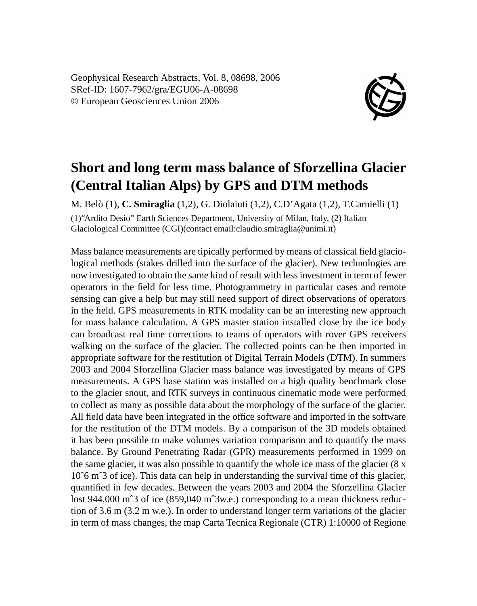Geophysical Research Abstracts, Vol. 8, 08698, 2006 SRef-ID: 1607-7962/gra/EGU06-A-08698 © European Geosciences Union 2006



## **Short and long term mass balance of Sforzellina Glacier (Central Italian Alps) by GPS and DTM methods**

M. Belò (1), **C. Smiraglia** (1,2), G. Diolaiuti (1,2), C.D'Agata (1,2), T.Carnielli (1) (1)"Ardito Desio" Earth Sciences Department, University of Milan, Italy, (2) Italian Glaciological Committee (CGI)(contact email:claudio.smiraglia@unimi.it)

Mass balance measurements are tipically performed by means of classical field glaciological methods (stakes drilled into the surface of the glacier). New technologies are now investigated to obtain the same kind of result with less investment in term of fewer operators in the field for less time. Photogrammetry in particular cases and remote sensing can give a help but may still need support of direct observations of operators in the field. GPS measurements in RTK modality can be an interesting new approach for mass balance calculation. A GPS master station installed close by the ice body can broadcast real time corrections to teams of operators with rover GPS receivers walking on the surface of the glacier. The collected points can be then imported in appropriate software for the restitution of Digital Terrain Models (DTM). In summers 2003 and 2004 Sforzellina Glacier mass balance was investigated by means of GPS measurements. A GPS base station was installed on a high quality benchmark close to the glacier snout, and RTK surveys in continuous cinematic mode were performed to collect as many as possible data about the morphology of the surface of the glacier. All field data have been integrated in the office software and imported in the software for the restitution of the DTM models. By a comparison of the 3D models obtained it has been possible to make volumes variation comparison and to quantify the mass balance. By Ground Penetrating Radar (GPR) measurements performed in 1999 on the same glacier, it was also possible to quantify the whole ice mass of the glacier (8 x 10ˆ6 mˆ3 of ice). This data can help in understanding the survival time of this glacier, quantified in few decades. Between the years 2003 and 2004 the Sforzellina Glacier lost 944,000 mˆ3 of ice (859,040 mˆ3w.e.) corresponding to a mean thickness reduction of 3.6 m (3.2 m w.e.). In order to understand longer term variations of the glacier in term of mass changes, the map Carta Tecnica Regionale (CTR) 1:10000 of Regione